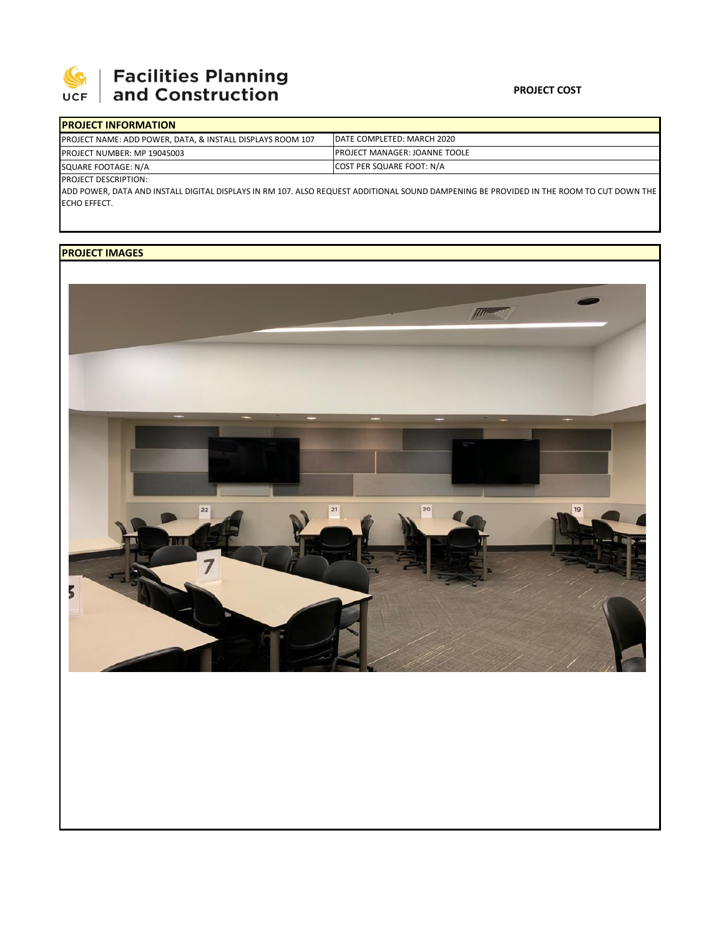

## **Facilities Planning<br>and Construction**

| <b>PROJECT INFORMATION</b>                                            |                                       |
|-----------------------------------------------------------------------|---------------------------------------|
| <b>PROJECT NAME: ADD POWER, DATA, &amp; INSTALL DISPLAYS ROOM 107</b> | IDATE COMPLETED: MARCH 2020           |
| <b>PROJECT NUMBER: MP 19045003</b>                                    | <b>IPROJECT MANAGER: JOANNE TOOLE</b> |
| SQUARE FOOTAGE: N/A                                                   | <b>COST PER SQUARE FOOT: N/A</b>      |
|                                                                       |                                       |

PROJECT DESCRIPTION:

ADD POWER, DATA AND INSTALL DIGITAL DISPLAYS IN RM 107. ALSO REQUEST ADDITIONAL SOUND DAMPENING BE PROVIDED IN THE ROOM TO CUT DOWN THE ECHO EFFECT.

## **PROJECT IMAGES**